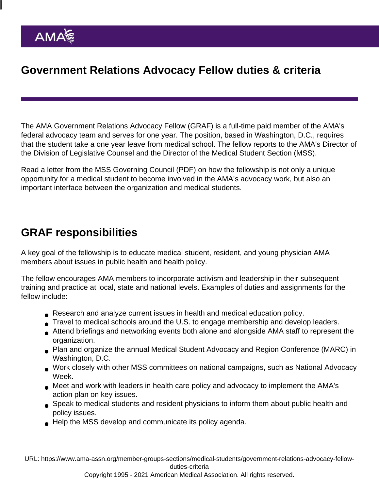## Government Relations Advocacy Fellow duties & criteria

The AMA Government Relations Advocacy Fellow (GRAF) is a full-time paid member of the AMA's federal advocacy team and serves for one year. The position, based in Washington, D.C., requires that the student take a one year leave from medical school. The fellow reports to the AMA's Director of the Division of Legislative Counsel and the Director of the Medical Student Section (MSS).

Read a [letter from the MSS Governing Council](https://www.ama-assn.org/system/files/2020-10/2020-2021-mss-graf.pdf) (PDF) on how the fellowship is not only a unique opportunity for a medical student to become involved in the AMA's advocacy work, but also an important interface between the organization and medical students.

## GRAF responsibilities

A key goal of the fellowship is to educate medical student, resident, and young physician AMA members about issues in public health and health policy.

The fellow encourages AMA members to incorporate activism and leadership in their subsequent training and practice at local, state and national levels. Examples of duties and assignments for the fellow include:

- Research and analyze current issues in health and medical education policy.
- Travel to medical schools around the U.S. to engage membership and develop leaders.
- Attend briefings and networking events both alone and alongside AMA staff to represent the organization.
- Plan and organize the annual Medical Student Advocacy and Region Conference (MARC) in Washington, D.C.
- Work closely with other MSS committees on national campaigns, such as National Advocacy Week.
- Meet and work with leaders in health care policy and advocacy to implement the AMA's action plan on key issues.
- Speak to medical students and resident physicians to inform them about public health and policy issues.
- Help the MSS develop and communicate its policy agenda.

URL: [https://www.ama-assn.org/member-groups-sections/medical-students/government-relations-advocacy-fellow](https://www.ama-assn.org/member-groups-sections/medical-students/government-relations-advocacy-fellow-duties-criteria)[duties-criteria](https://www.ama-assn.org/member-groups-sections/medical-students/government-relations-advocacy-fellow-duties-criteria)